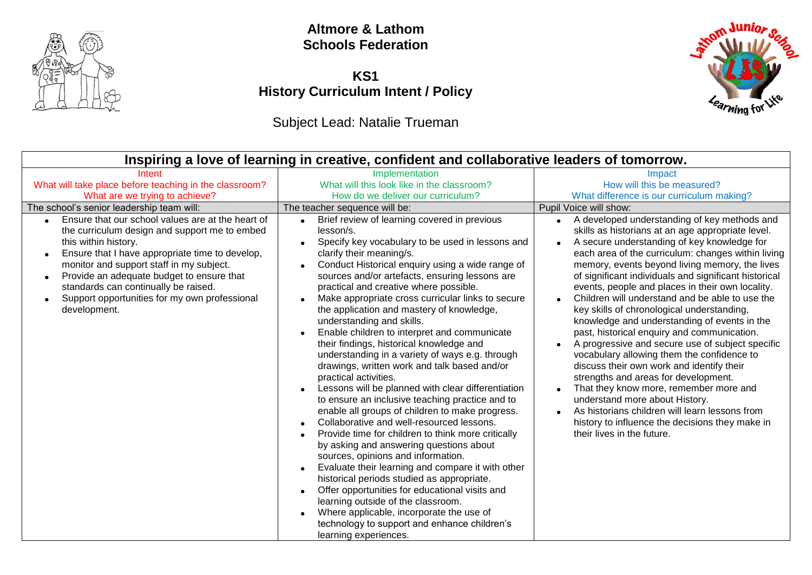

#### **Altmore & Lathom Schools Federation**

## **KS1 History Curriculum Intent / Policy**

## Subject Lead: Natalie Trueman

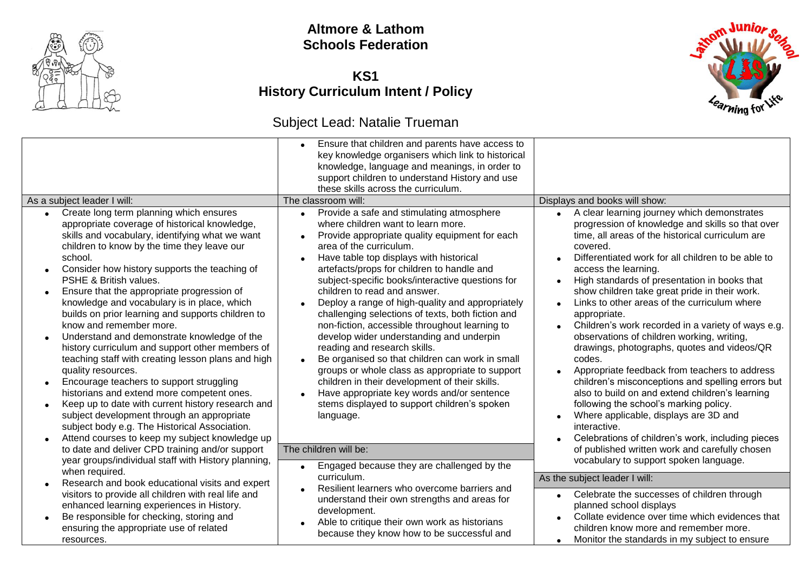

#### **Altmore & Lathom Schools Federation**

#### **KS1 History Curriculum Intent / Policy**

#### Subject Lead: Natalie Trueman